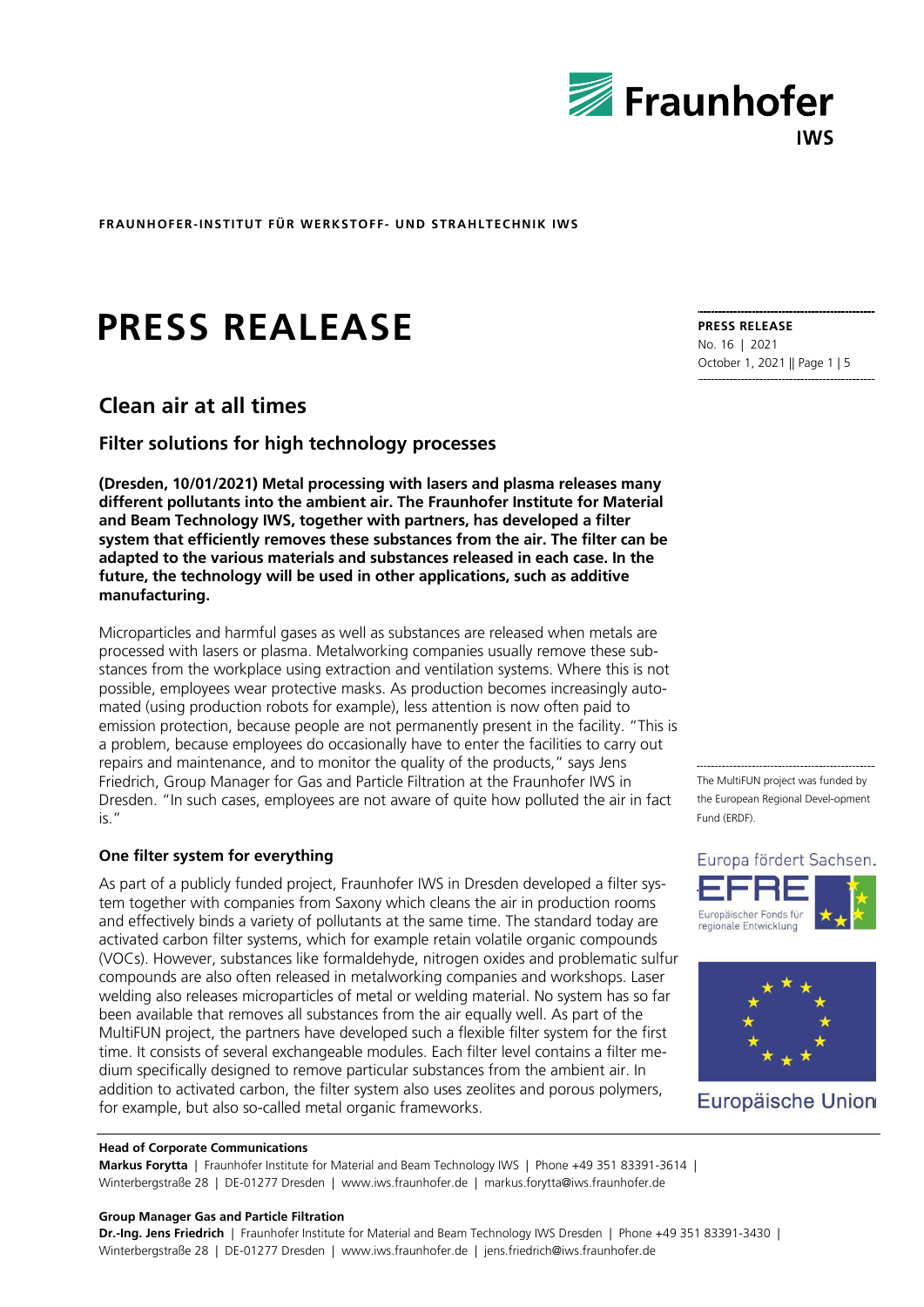

# **PRESS REALEASE**

# **Clean air at all times**

### **Filter solutions for high technology processes**

**(Dresden, 10/01/2021) Metal processing with lasers and plasma releases many different pollutants into the ambient air. The Fraunhofer Institute for Material and Beam Technology IWS, together with partners, has developed a filter system that efficiently removes these substances from the air. The filter can be adapted to the various materials and substances released in each case. In the future, the technology will be used in other applications, such as additive manufacturing.**

Microparticles and harmful gases as well as substances are released when metals are processed with lasers or plasma. Metalworking companies usually remove these substances from the workplace using extraction and ventilation systems. Where this is not possible, employees wear protective masks. As production becomes increasingly automated (using production robots for example), less attention is now often paid to emission protection, because people are not permanently present in the facility. "This is a problem, because employees do occasionally have to enter the facilities to carry out repairs and maintenance, and to monitor the quality of the products," says Jens Friedrich, Group Manager for Gas and Particle Filtration at the Fraunhofer IWS in Dresden. "In such cases, employees are not aware of quite how polluted the air in fact is."

#### **One filter system for everything**

As part of a publicly funded project, Fraunhofer IWS in Dresden developed a filter system together with companies from Saxony which cleans the air in production rooms and effectively binds a variety of pollutants at the same time. The standard today are activated carbon filter systems, which for example retain volatile organic compounds (VOCs). However, substances like formaldehyde, nitrogen oxides and problematic sulfur compounds are also often released in metalworking companies and workshops. Laser welding also releases microparticles of metal or welding material. No system has so far been available that removes all substances from the air equally well. As part of the MultiFUN project, the partners have developed such a flexible filter system for the first time. It consists of several exchangeable modules. Each filter level contains a filter medium specifically designed to remove particular substances from the ambient air. In addition to activated carbon, the filter system also uses zeolites and porous polymers, for example, but also so-called metal organic frameworks.

**PRESS RELEASE** No. 16 | 2021 October 1, 2021 || Page 1 | 5

The MultiFUN project was funded by the European Regional Devel-opment Fund (ERDF).





Europäische Union

#### **Head of Corporate Communications**

**Markus Forytta** | Fraunhofer Institute for Material and Beam Technology IWS | Phone +49 351 83391-3614 | Winterbergstraße 28 | DE-01277 Dresden | www.iws.fraunhofer.de | markus.forytta@iws.fraunhofer.de

#### **Group Manager Gas and Particle Filtration**

**Dr.-Ing. Jens Friedrich** | Fraunhofer Institute for Material and Beam Technology IWS Dresden | Phone +49 351 83391-3430 | Winterbergstraße 28 | DE-01277 Dresden | www.iws.fraunhofer.de | jens.friedrich@iws.fraunhofer.de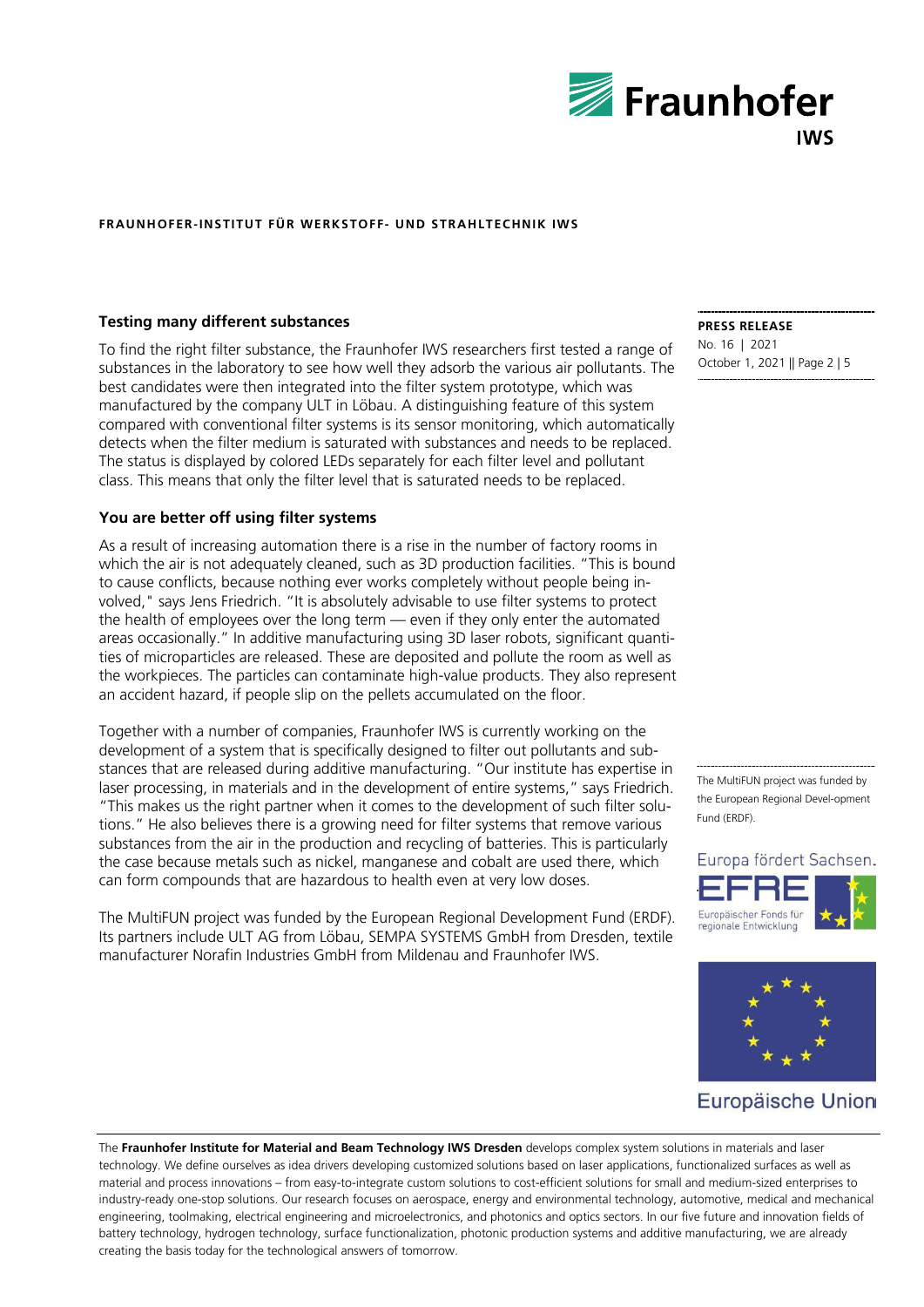

#### **Testing many different substances**

To find the right filter substance, the Fraunhofer IWS researchers first tested a range of substances in the laboratory to see how well they adsorb the various air pollutants. The best candidates were then integrated into the filter system prototype, which was manufactured by the company ULT in Löbau. A distinguishing feature of this system compared with conventional filter systems is its sensor monitoring, which automatically detects when the filter medium is saturated with substances and needs to be replaced. The status is displayed by colored LEDs separately for each filter level and pollutant class. This means that only the filter level that is saturated needs to be replaced.

#### **You are better off using filter systems**

As a result of increasing automation there is a rise in the number of factory rooms in which the air is not adequately cleaned, such as 3D production facilities. "This is bound to cause conflicts, because nothing ever works completely without people being involved," says Jens Friedrich. "It is absolutely advisable to use filter systems to protect the health of employees over the long term — even if they only enter the automated areas occasionally." In additive manufacturing using 3D laser robots, significant quantities of microparticles are released. These are deposited and pollute the room as well as the workpieces. The particles can contaminate high-value products. They also represent an accident hazard, if people slip on the pellets accumulated on the floor.

Together with a number of companies, Fraunhofer IWS is currently working on the development of a system that is specifically designed to filter out pollutants and substances that are released during additive manufacturing. "Our institute has expertise in laser processing, in materials and in the development of entire systems," says Friedrich. "This makes us the right partner when it comes to the development of such filter solutions." He also believes there is a growing need for filter systems that remove various substances from the air in the production and recycling of batteries. This is particularly the case because metals such as nickel, manganese and cobalt are used there, which can form compounds that are hazardous to health even at very low doses.

The MultiFUN project was funded by the European Regional Development Fund (ERDF). Its partners include ULT AG from Löbau, SEMPA SYSTEMS GmbH from Dresden, textile manufacturer Norafin Industries GmbH from Mildenau and Fraunhofer IWS.

**PRESS RELEASE** No. 16 | 2021 October 1, 2021 || Page 2 | 5

The MultiFUN project was funded by the European Regional Devel-opment Fund (ERDF).





## Europäische Union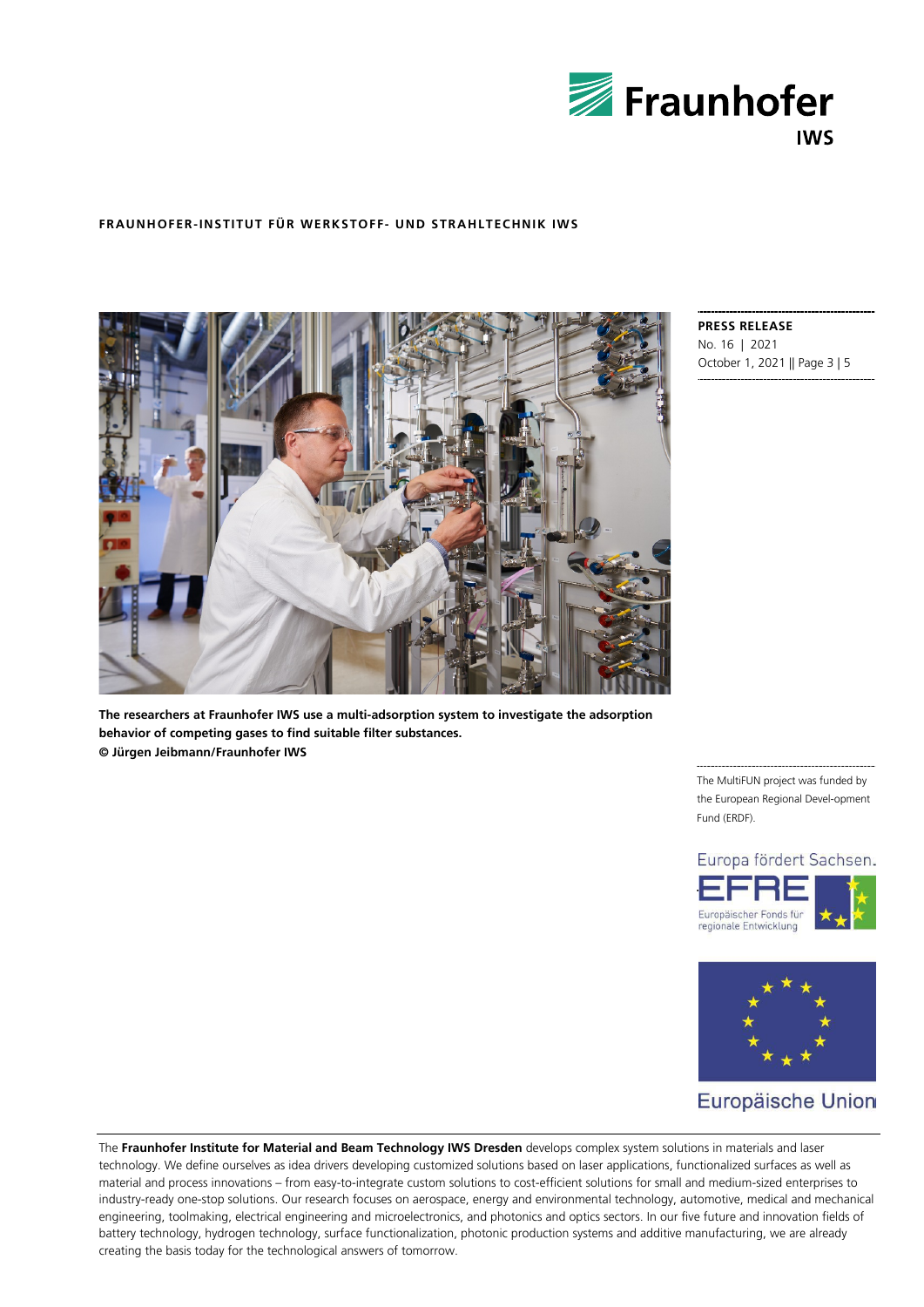



**The researchers at Fraunhofer IWS use a multi-adsorption system to investigate the adsorption behavior of competing gases to find suitable filter substances. © Jürgen Jeibmann/Fraunhofer IWS**

**PRESS RELEASE** No. 16 | 2021 October 1, 2021 || Page 3 | 5

The MultiFUN project was funded by the European Regional Devel-opment Fund (ERDF).





# Europäische Union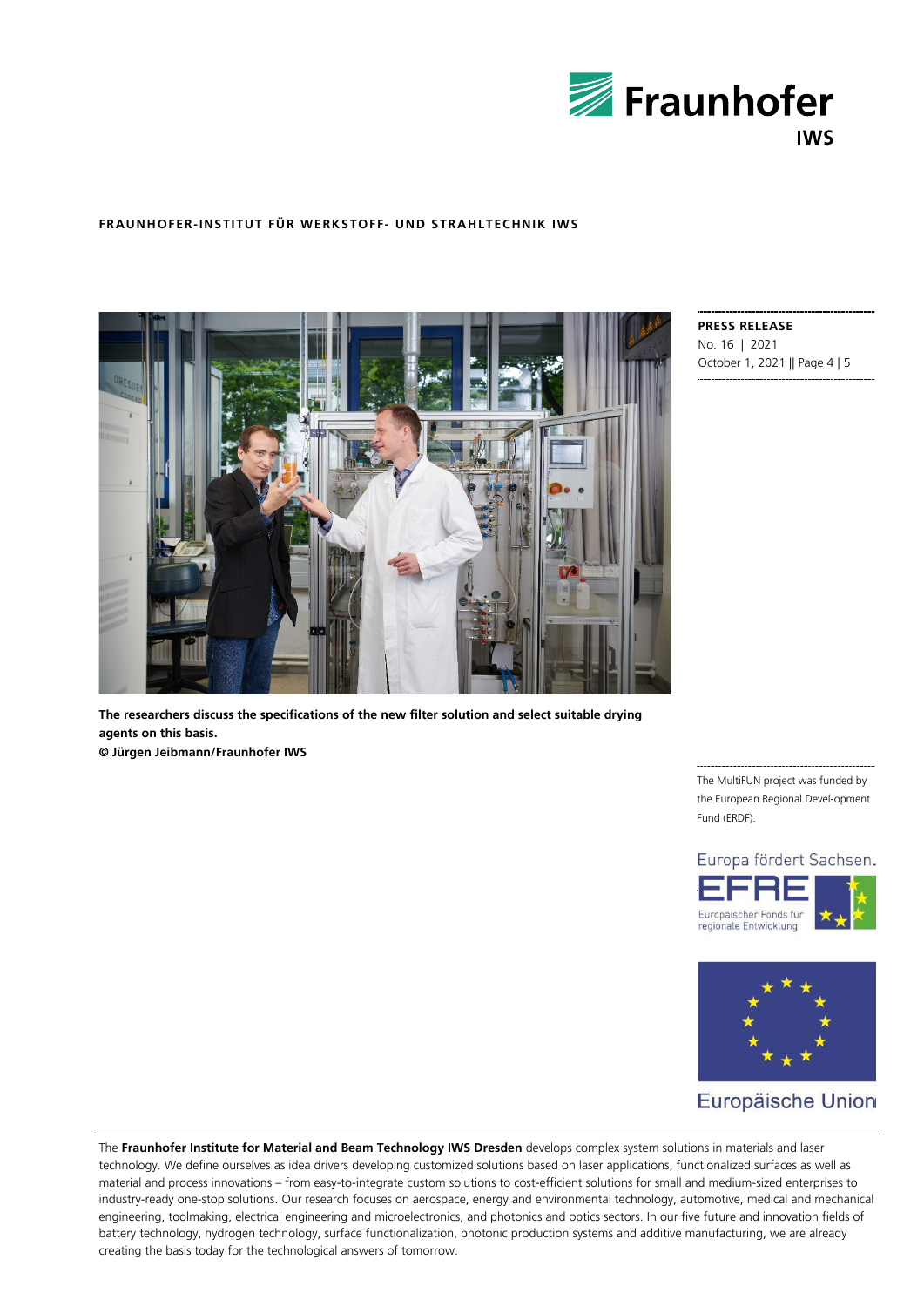



**The researchers discuss the specifications of the new filter solution and select suitable drying agents on this basis. © Jürgen Jeibmann/Fraunhofer IWS**

**PRESS RELEASE** No. 16 | 2021 October 1, 2021 || Page 4 | 5

The MultiFUN project was funded by the European Regional Devel-opment Fund (ERDF).





## Europäische Union